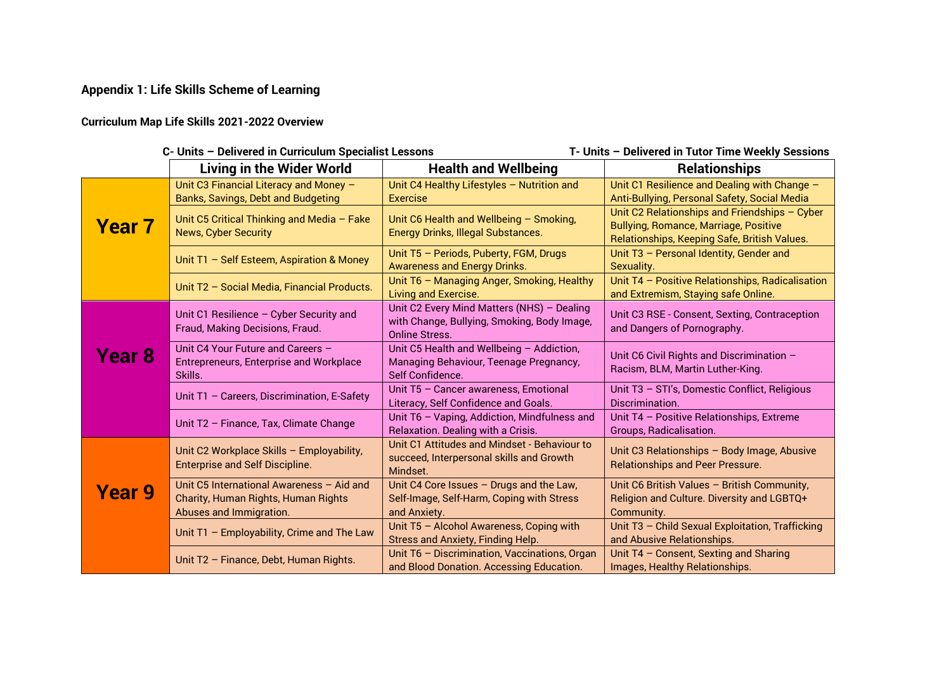## **Appendix 1: Life Skills Scheme of Learning**

## **Curriculum Map Life Skills 2021-2022 Overview**

| C- Units - Delivered in Curriculum Specialist Lessons<br>T- Units - Delivered in Tutor Time Weekly Sessions |                                                                                                |                                                                                    |                                                                                               |
|-------------------------------------------------------------------------------------------------------------|------------------------------------------------------------------------------------------------|------------------------------------------------------------------------------------|-----------------------------------------------------------------------------------------------|
|                                                                                                             | <b>Living in the Wider World</b>                                                               | <b>Health and Wellbeing</b>                                                        | <b>Relationships</b>                                                                          |
|                                                                                                             | Unit C3 Financial Literacy and Money -                                                         | Unit C4 Healthy Lifestyles - Nutrition and                                         | Unit C1 Resilience and Dealing with Change -                                                  |
|                                                                                                             | <b>Banks, Savings, Debt and Budgeting</b>                                                      | <b>Exercise</b>                                                                    | Anti-Bullying, Personal Safety, Social Media                                                  |
| <b>Year 7</b>                                                                                               | Unit C5 Critical Thinking and Media - Fake<br><b>News, Cyber Security</b>                      | Unit C6 Health and Wellbeing - Smoking,                                            | Unit C2 Relationships and Friendships - Cyber<br><b>Bullying, Romance, Marriage, Positive</b> |
|                                                                                                             |                                                                                                | <b>Energy Drinks, Illegal Substances.</b>                                          | Relationships, Keeping Safe, British Values.                                                  |
|                                                                                                             | Unit T1 - Self Esteem, Aspiration & Money                                                      | Unit T5 - Periods, Puberty, FGM, Drugs<br><b>Awareness and Energy Drinks.</b>      | Unit T3 - Personal Identity, Gender and<br>Sexuality.                                         |
|                                                                                                             | Unit T2 - Social Media, Financial Products.                                                    | Unit T6 - Managing Anger, Smoking, Healthy<br>Living and Exercise.                 | Unit T4 - Positive Relationships, Radicalisation<br>and Extremism, Staying safe Online.       |
|                                                                                                             | Unit C1 Resilience - Cyber Security and                                                        | Unit C2 Every Mind Matters (NHS) - Dealing                                         | Unit C3 RSE - Consent, Sexting, Contraception                                                 |
| Year 8                                                                                                      | Fraud, Making Decisions, Fraud.                                                                | with Change, Bullying, Smoking, Body Image,<br><b>Online Stress.</b>               | and Dangers of Pornography.                                                                   |
|                                                                                                             | Unit C4 Your Future and Careers -<br><b>Entrepreneurs, Enterprise and Workplace</b><br>Skills. | Unit C5 Health and Wellbeing - Addiction,                                          | Unit C6 Civil Rights and Discrimination -                                                     |
|                                                                                                             |                                                                                                | Managing Behaviour, Teenage Pregnancy,<br>Self Confidence.                         | Racism, BLM, Martin Luther-King.                                                              |
|                                                                                                             | Unit T1 - Careers, Discrimination, E-Safety                                                    | Unit T5 - Cancer awareness, Emotional                                              | Unit T3 - STI's, Domestic Conflict, Religious                                                 |
|                                                                                                             |                                                                                                | Literacy, Self Confidence and Goals.                                               | Discrimination.                                                                               |
|                                                                                                             | Unit T2 - Finance, Tax, Climate Change                                                         | Unit T6 - Vaping, Addiction, Mindfulness and<br>Relaxation. Dealing with a Crisis. | Unit T4 - Positive Relationships, Extreme<br>Groups, Radicalisation.                          |
|                                                                                                             |                                                                                                | Unit C1 Attitudes and Mindset - Behaviour to                                       |                                                                                               |
| <b>Year 9</b>                                                                                               | Unit C2 Workplace Skills - Employability,<br><b>Enterprise and Self Discipline.</b>            | succeed, Interpersonal skills and Growth                                           | Unit C3 Relationships - Body Image, Abusive<br><b>Relationships and Peer Pressure.</b>        |
|                                                                                                             |                                                                                                | Mindset.                                                                           |                                                                                               |
|                                                                                                             | Unit C5 International Awareness - Aid and                                                      | Unit C4 Core Issues - Drugs and the Law,                                           | Unit C6 British Values - British Community,                                                   |
|                                                                                                             | Charity, Human Rights, Human Rights<br>Abuses and Immigration.                                 | Self-Image, Self-Harm, Coping with Stress<br>and Anxiety.                          | Religion and Culture. Diversity and LGBTQ+<br>Community.                                      |
|                                                                                                             |                                                                                                | Unit T5 - Alcohol Awareness, Coping with                                           | Unit T3 - Child Sexual Exploitation, Trafficking                                              |
|                                                                                                             | Unit T1 - Employability, Crime and The Law                                                     | <b>Stress and Anxiety, Finding Help.</b>                                           | and Abusive Relationships.                                                                    |
|                                                                                                             | Unit T2 - Finance, Debt, Human Rights.                                                         | Unit T6 - Discrimination, Vaccinations, Organ                                      | Unit T4 - Consent, Sexting and Sharing                                                        |
|                                                                                                             |                                                                                                | and Blood Donation. Accessing Education.                                           | Images, Healthy Relationships.                                                                |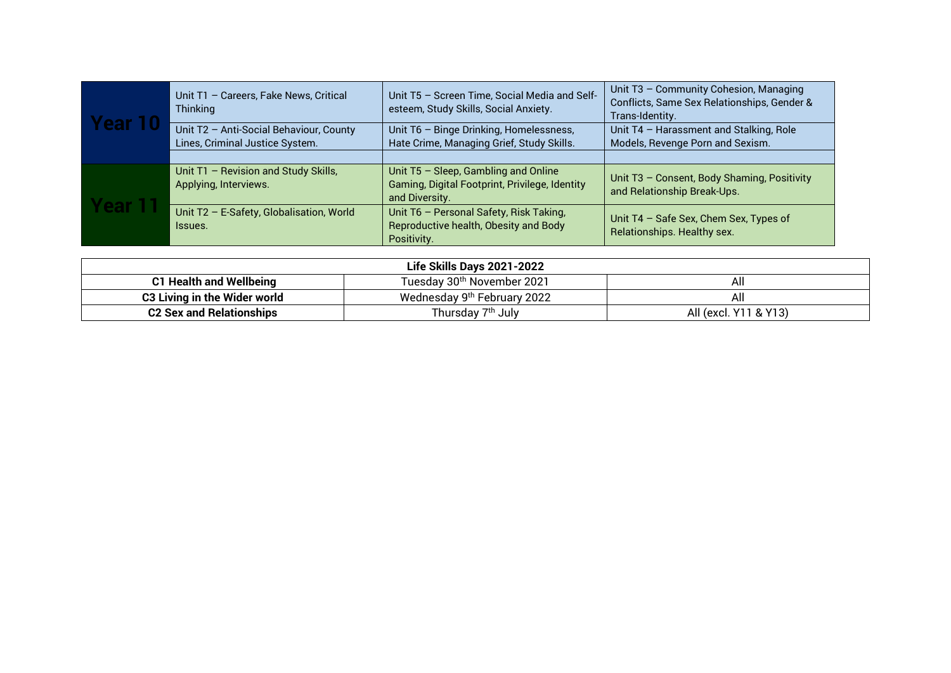| <b>TABLE</b> | Unit T1 - Careers, Fake News, Critical<br>Thinking                         | Unit T5 - Screen Time, Social Media and Self-<br>esteem, Study Skills, Social Anxiety.                   | Unit T3 - Community Cohesion, Managing<br>Conflicts, Same Sex Relationships, Gender &<br>Trans-Identity. |
|--------------|----------------------------------------------------------------------------|----------------------------------------------------------------------------------------------------------|----------------------------------------------------------------------------------------------------------|
|              | Unit T2 - Anti-Social Behaviour, County<br>Lines, Criminal Justice System. | Unit T6 - Binge Drinking, Homelessness,<br>Hate Crime, Managing Grief, Study Skills.                     | Unit T4 - Harassment and Stalking, Role<br>Models, Revenge Porn and Sexism.                              |
|              |                                                                            |                                                                                                          |                                                                                                          |
| <b>ar L</b>  | Unit T1 - Revision and Study Skills,<br>Applying, Interviews.              | Unit T5 - Sleep, Gambling and Online<br>Gaming, Digital Footprint, Privilege, Identity<br>and Diversity. | Unit T3 - Consent, Body Shaming, Positivity<br>and Relationship Break-Ups.                               |
|              | Unit T2 - E-Safety, Globalisation, World<br>Issues.                        | Unit T6 - Personal Safety, Risk Taking,<br>Reproductive health, Obesity and Body<br>Positivity.          | Unit T4 - Safe Sex, Chem Sex, Types of<br>Relationships. Healthy sex.                                    |

| Life Skills Days 2021-2022      |                                         |                       |
|---------------------------------|-----------------------------------------|-----------------------|
| <b>C1 Health and Wellbeing</b>  | Tuesday 30 <sup>th</sup> November 2021  | All                   |
| C3 Living in the Wider world    | Wednesday 9 <sup>th</sup> February 2022 | All                   |
| <b>C2 Sex and Relationships</b> | Thursday 7 <sup>th</sup> July           | All (excl. Y11 & Y13) |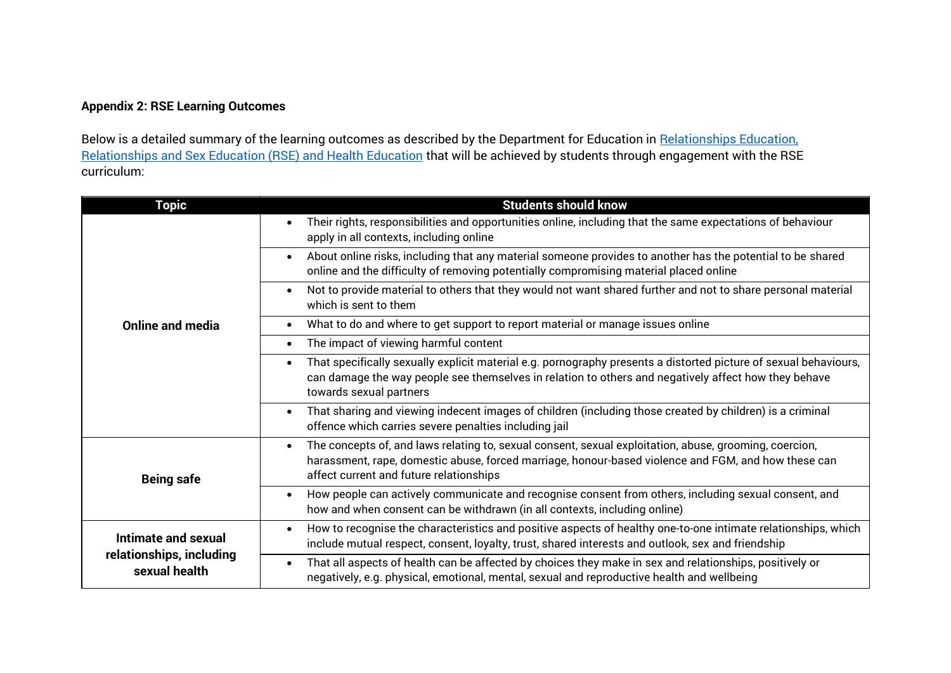## **Appendix 2: RSE Learning Outcomes**

Below is a detailed summary of the learning outcomes as described by the Department for Education in Relationships Education. [Relationships and Sex Education \(RSE\) and Health Education](https://assets.publishing.service.gov.uk/government/uploads/system/uploads/attachment_data/file/805781/Relationships_Education__Relationships_and_Sex_Education__RSE__and_Health_Education.pdf) that will be achieved by students through engagement with the RSE curriculum:

| <b>Topic</b>                              | <b>Students should know</b>                                                                                                                                                                                                                                           |
|-------------------------------------------|-----------------------------------------------------------------------------------------------------------------------------------------------------------------------------------------------------------------------------------------------------------------------|
|                                           | Their rights, responsibilities and opportunities online, including that the same expectations of behaviour<br>$\bullet$<br>apply in all contexts, including online                                                                                                    |
|                                           | About online risks, including that any material someone provides to another has the potential to be shared<br>$\bullet$<br>online and the difficulty of removing potentially compromising material placed online                                                      |
|                                           | Not to provide material to others that they would not want shared further and not to share personal material<br>$\bullet$<br>which is sent to them                                                                                                                    |
| <b>Online and media</b>                   | What to do and where to get support to report material or manage issues online<br>$\bullet$                                                                                                                                                                           |
|                                           | The impact of viewing harmful content<br>$\bullet$                                                                                                                                                                                                                    |
|                                           | That specifically sexually explicit material e.g. pornography presents a distorted picture of sexual behaviours,<br>$\bullet$<br>can damage the way people see themselves in relation to others and negatively affect how they behave<br>towards sexual partners      |
|                                           | That sharing and viewing indecent images of children (including those created by children) is a criminal<br>$\bullet$<br>offence which carries severe penalties including jail                                                                                        |
| <b>Being safe</b>                         | The concepts of, and laws relating to, sexual consent, sexual exploitation, abuse, grooming, coercion,<br>$\bullet$<br>harassment, rape, domestic abuse, forced marriage, honour-based violence and FGM, and how these can<br>affect current and future relationships |
|                                           | How people can actively communicate and recognise consent from others, including sexual consent, and<br>$\bullet$<br>how and when consent can be withdrawn (in all contexts, including online)                                                                        |
| <b>Intimate and sexual</b>                | How to recognise the characteristics and positive aspects of healthy one-to-one intimate relationships, which<br>$\bullet$<br>include mutual respect, consent, loyalty, trust, shared interests and outlook, sex and friendship                                       |
| relationships, including<br>sexual health | That all aspects of health can be affected by choices they make in sex and relationships, positively or<br>$\bullet$<br>negatively, e.g. physical, emotional, mental, sexual and reproductive health and wellbeing                                                    |